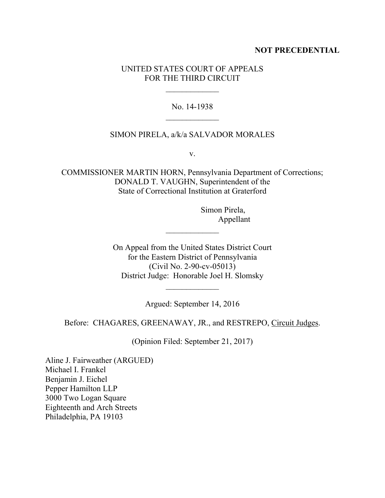## **NOT PRECEDENTIAL**

# UNITED STATES COURT OF APPEALS FOR THE THIRD CIRCUIT

## No. 14-1938

### SIMON PIRELA, a/k/a SALVADOR MORALES

v.

COMMISSIONER MARTIN HORN, Pennsylvania Department of Corrections; DONALD T. VAUGHN, Superintendent of the State of Correctional Institution at Graterford

> Simon Pirela, Appellant

On Appeal from the United States District Court for the Eastern District of Pennsylvania (Civil No. 2-90-cv-05013) District Judge: Honorable Joel H. Slomsky

Argued: September 14, 2016

 $\mathcal{L}_\text{max}$  and  $\mathcal{L}_\text{max}$ 

Before: CHAGARES, GREENAWAY, JR., and RESTREPO, Circuit Judges.

(Opinion Filed: September 21, 2017)

Aline J. Fairweather (ARGUED) Michael I. Frankel Benjamin J. Eichel Pepper Hamilton LLP 3000 Two Logan Square Eighteenth and Arch Streets Philadelphia, PA 19103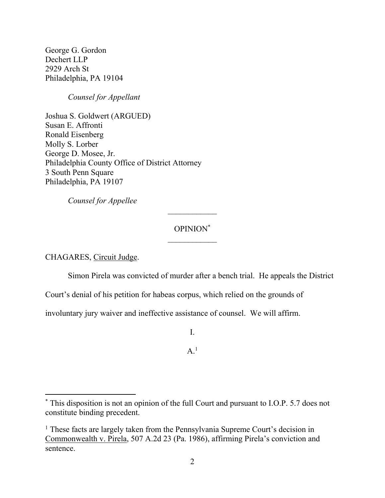George G. Gordon Dechert LLP 2929 Arch St Philadelphia, PA 19104

*Counsel for Appellant*

Joshua S. Goldwert (ARGUED) Susan E. Affronti Ronald Eisenberg Molly S. Lorber George D. Mosee, Jr. Philadelphia County Office of District Attorney 3 South Penn Square Philadelphia, PA 19107

*Counsel for Appellee*

# OPINION\*

CHAGARES, Circuit Judge.

 $\overline{a}$ 

Simon Pirela was convicted of murder after a bench trial. He appeals the District

Court's denial of his petition for habeas corpus, which relied on the grounds of

involuntary jury waiver and ineffective assistance of counsel. We will affirm.

I.

 $A<sup>1</sup>$ 

<sup>\*</sup> This disposition is not an opinion of the full Court and pursuant to I.O.P. 5.7 does not constitute binding precedent.

<sup>&</sup>lt;sup>1</sup> These facts are largely taken from the Pennsylvania Supreme Court's decision in Commonwealth v. Pirela, 507 A.2d 23 (Pa. 1986), affirming Pirela's conviction and sentence.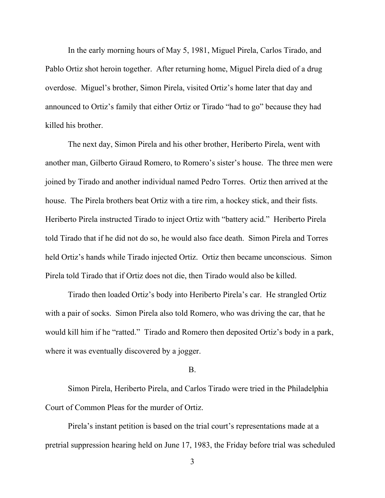In the early morning hours of May 5, 1981, Miguel Pirela, Carlos Tirado, and Pablo Ortiz shot heroin together. After returning home, Miguel Pirela died of a drug overdose. Miguel's brother, Simon Pirela, visited Ortiz's home later that day and announced to Ortiz's family that either Ortiz or Tirado "had to go" because they had killed his brother.

The next day, Simon Pirela and his other brother, Heriberto Pirela, went with another man, Gilberto Giraud Romero, to Romero's sister's house. The three men were joined by Tirado and another individual named Pedro Torres. Ortiz then arrived at the house. The Pirela brothers beat Ortiz with a tire rim, a hockey stick, and their fists. Heriberto Pirela instructed Tirado to inject Ortiz with "battery acid." Heriberto Pirela told Tirado that if he did not do so, he would also face death. Simon Pirela and Torres held Ortiz's hands while Tirado injected Ortiz. Ortiz then became unconscious. Simon Pirela told Tirado that if Ortiz does not die, then Tirado would also be killed.

Tirado then loaded Ortiz's body into Heriberto Pirela's car. He strangled Ortiz with a pair of socks. Simon Pirela also told Romero, who was driving the car, that he would kill him if he "ratted." Tirado and Romero then deposited Ortiz's body in a park, where it was eventually discovered by a jogger.

### B.

Simon Pirela, Heriberto Pirela, and Carlos Tirado were tried in the Philadelphia Court of Common Pleas for the murder of Ortiz.

Pirela's instant petition is based on the trial court's representations made at a pretrial suppression hearing held on June 17, 1983, the Friday before trial was scheduled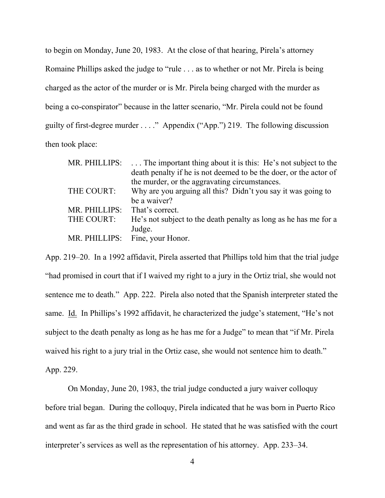to begin on Monday, June 20, 1983. At the close of that hearing, Pirela's attorney Romaine Phillips asked the judge to "rule . . . as to whether or not Mr. Pirela is being charged as the actor of the murder or is Mr. Pirela being charged with the murder as being a co-conspirator" because in the latter scenario, "Mr. Pirela could not be found guilty of first-degree murder . . . ." Appendix ("App.") 219. The following discussion then took place:

| MR. PHILLIPS: | The important thing about it is this: He's not subject to the     |
|---------------|-------------------------------------------------------------------|
|               | death penalty if he is not deemed to be the doer, or the actor of |
|               | the murder, or the aggravating circumstances.                     |
| THE COURT:    | Why are you arguing all this? Didn't you say it was going to      |
|               | be a waiver?                                                      |
| MR. PHILLIPS: | That's correct.                                                   |
| THE COURT:    | He's not subject to the death penalty as long as he has me for a  |
|               | Judge.                                                            |
| MR. PHILLIPS: | Fine, your Honor.                                                 |

App. 219–20. In a 1992 affidavit, Pirela asserted that Phillips told him that the trial judge "had promised in court that if I waived my right to a jury in the Ortiz trial, she would not sentence me to death." App. 222. Pirela also noted that the Spanish interpreter stated the same. Id. In Phillips's 1992 affidavit, he characterized the judge's statement, "He's not subject to the death penalty as long as he has me for a Judge" to mean that "if Mr. Pirela waived his right to a jury trial in the Ortiz case, she would not sentence him to death." App. 229.

On Monday, June 20, 1983, the trial judge conducted a jury waiver colloquy before trial began. During the colloquy, Pirela indicated that he was born in Puerto Rico and went as far as the third grade in school. He stated that he was satisfied with the court interpreter's services as well as the representation of his attorney. App. 233–34.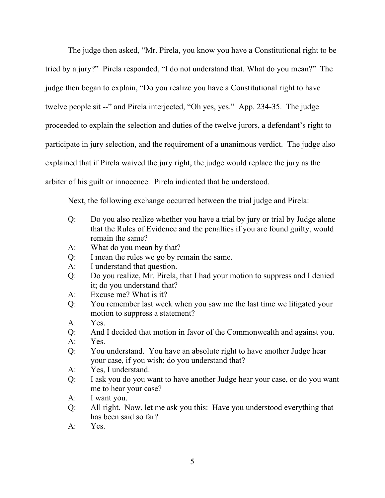The judge then asked, "Mr. Pirela, you know you have a Constitutional right to be tried by a jury?" Pirela responded, "I do not understand that. What do you mean?" The judge then began to explain, "Do you realize you have a Constitutional right to have twelve people sit --" and Pirela interjected, "Oh yes, yes." App. 234-35. The judge proceeded to explain the selection and duties of the twelve jurors, a defendant's right to participate in jury selection, and the requirement of a unanimous verdict. The judge also explained that if Pirela waived the jury right, the judge would replace the jury as the arbiter of his guilt or innocence. Pirela indicated that he understood.

Next, the following exchange occurred between the trial judge and Pirela:

- Q: Do you also realize whether you have a trial by jury or trial by Judge alone that the Rules of Evidence and the penalties if you are found guilty, would remain the same?
- A: What do you mean by that?
- Q: I mean the rules we go by remain the same.
- A: I understand that question.
- Q: Do you realize, Mr. Pirela, that I had your motion to suppress and I denied it; do you understand that?
- A: Excuse me? What is it?
- Q: You remember last week when you saw me the last time we litigated your motion to suppress a statement?
- A: Yes.
- Q: And I decided that motion in favor of the Commonwealth and against you.
- A: Yes.
- Q: You understand. You have an absolute right to have another Judge hear your case, if you wish; do you understand that?
- A: Yes, I understand.
- Q: I ask you do you want to have another Judge hear your case, or do you want me to hear your case?
- A: I want you.
- Q: All right. Now, let me ask you this: Have you understood everything that has been said so far?
- A: Yes.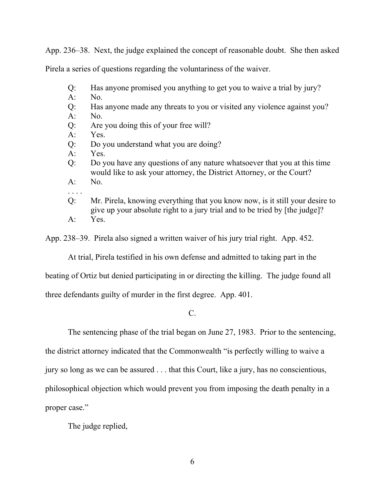App. 236–38. Next, the judge explained the concept of reasonable doubt. She then asked

Pirela a series of questions regarding the voluntariness of the waiver.

- Q: Has anyone promised you anything to get you to waive a trial by jury?
- A: No.
- Q: Has anyone made any threats to you or visited any violence against you?
- A: No.
- Q: Are you doing this of your free will?
- A: Yes.
- Q: Do you understand what you are doing?
- A: Yes.
- Q: Do you have any questions of any nature whatsoever that you at this time would like to ask your attorney, the District Attorney, or the Court?
- A: No.
- . . . . Q: Mr. Pirela, knowing everything that you know now, is it still your desire to give up your absolute right to a jury trial and to be tried by [the judge]? A: Yes.
- App. 238–39. Pirela also signed a written waiver of his jury trial right. App. 452.

At trial, Pirela testified in his own defense and admitted to taking part in the

beating of Ortiz but denied participating in or directing the killing. The judge found all

three defendants guilty of murder in the first degree. App. 401.

C.

The sentencing phase of the trial began on June 27, 1983. Prior to the sentencing,

the district attorney indicated that the Commonwealth "is perfectly willing to waive a

jury so long as we can be assured . . . that this Court, like a jury, has no conscientious,

philosophical objection which would prevent you from imposing the death penalty in a

proper case."

The judge replied,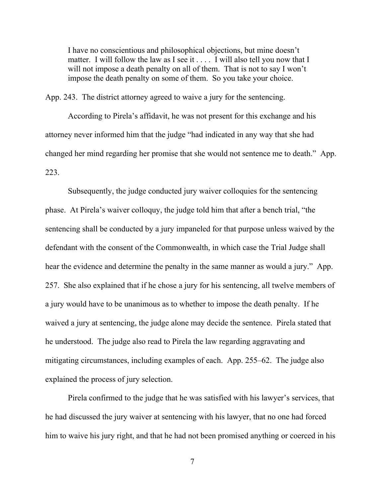I have no conscientious and philosophical objections, but mine doesn't matter. I will follow the law as I see it . . . . I will also tell you now that I will not impose a death penalty on all of them. That is not to say I won't impose the death penalty on some of them. So you take your choice.

App. 243. The district attorney agreed to waive a jury for the sentencing.

According to Pirela's affidavit, he was not present for this exchange and his attorney never informed him that the judge "had indicated in any way that she had changed her mind regarding her promise that she would not sentence me to death." App. 223.

Subsequently, the judge conducted jury waiver colloquies for the sentencing phase. At Pirela's waiver colloquy, the judge told him that after a bench trial, "the sentencing shall be conducted by a jury impaneled for that purpose unless waived by the defendant with the consent of the Commonwealth, in which case the Trial Judge shall hear the evidence and determine the penalty in the same manner as would a jury." App. 257. She also explained that if he chose a jury for his sentencing, all twelve members of a jury would have to be unanimous as to whether to impose the death penalty. If he waived a jury at sentencing, the judge alone may decide the sentence. Pirela stated that he understood. The judge also read to Pirela the law regarding aggravating and mitigating circumstances, including examples of each. App. 255–62. The judge also explained the process of jury selection.

Pirela confirmed to the judge that he was satisfied with his lawyer's services, that he had discussed the jury waiver at sentencing with his lawyer, that no one had forced him to waive his jury right, and that he had not been promised anything or coerced in his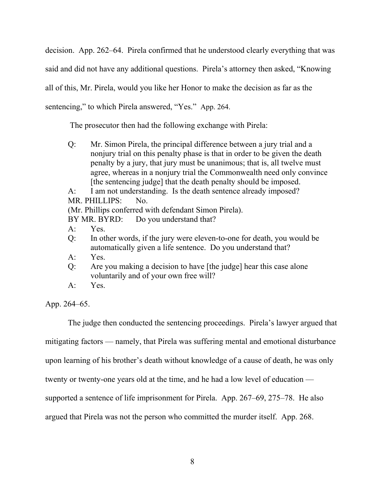decision. App. 262–64. Pirela confirmed that he understood clearly everything that was said and did not have any additional questions. Pirela's attorney then asked, "Knowing all of this, Mr. Pirela, would you like her Honor to make the decision as far as the sentencing," to which Pirela answered, "Yes." App. 264.

The prosecutor then had the following exchange with Pirela:

Q: Mr. Simon Pirela, the principal difference between a jury trial and a nonjury trial on this penalty phase is that in order to be given the death penalty by a jury, that jury must be unanimous; that is, all twelve must agree, whereas in a nonjury trial the Commonwealth need only convince [the sentencing judge] that the death penalty should be imposed.

A: I am not understanding. Is the death sentence already imposed? MR. PHILLIPS: No.

(Mr. Phillips conferred with defendant Simon Pirela).

BY MR. BYRD: Do you understand that?

- A: Yes.
- Q: In other words, if the jury were eleven-to-one for death, you would be automatically given a life sentence. Do you understand that?
- A: Yes.
- Q: Are you making a decision to have [the judge] hear this case alone voluntarily and of your own free will?
- A: Yes.

App. 264–65.

The judge then conducted the sentencing proceedings. Pirela's lawyer argued that

mitigating factors — namely, that Pirela was suffering mental and emotional disturbance

upon learning of his brother's death without knowledge of a cause of death, he was only

twenty or twenty-one years old at the time, and he had a low level of education —

supported a sentence of life imprisonment for Pirela. App. 267–69, 275–78. He also

argued that Pirela was not the person who committed the murder itself. App. 268.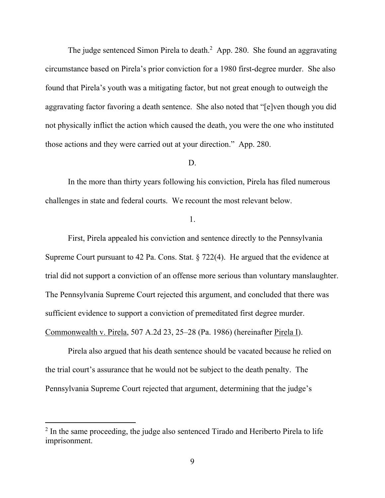The judge sentenced Simon Pirela to death.<sup>2</sup> App. 280. She found an aggravating circumstance based on Pirela's prior conviction for a 1980 first-degree murder. She also found that Pirela's youth was a mitigating factor, but not great enough to outweigh the aggravating factor favoring a death sentence. She also noted that "[e]ven though you did not physically inflict the action which caused the death, you were the one who instituted those actions and they were carried out at your direction." App. 280.

# D.

In the more than thirty years following his conviction, Pirela has filed numerous challenges in state and federal courts. We recount the most relevant below.

1.

First, Pirela appealed his conviction and sentence directly to the Pennsylvania Supreme Court pursuant to 42 Pa. Cons. Stat. § 722(4). He argued that the evidence at trial did not support a conviction of an offense more serious than voluntary manslaughter. The Pennsylvania Supreme Court rejected this argument, and concluded that there was sufficient evidence to support a conviction of premeditated first degree murder. Commonwealth v. Pirela, 507 A.2d 23, 25–28 (Pa. 1986) (hereinafter Pirela I).

Pirela also argued that his death sentence should be vacated because he relied on the trial court's assurance that he would not be subject to the death penalty. The Pennsylvania Supreme Court rejected that argument, determining that the judge's

<sup>&</sup>lt;sup>2</sup> In the same proceeding, the judge also sentenced Tirado and Heriberto Pirela to life imprisonment.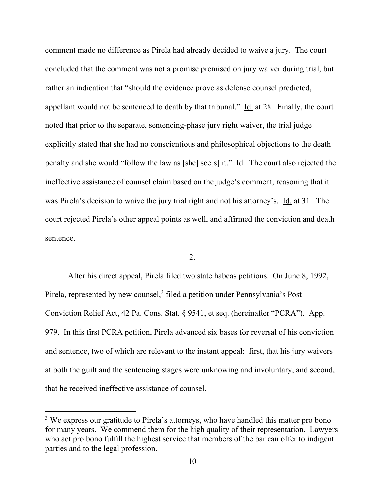comment made no difference as Pirela had already decided to waive a jury. The court concluded that the comment was not a promise premised on jury waiver during trial, but rather an indication that "should the evidence prove as defense counsel predicted, appellant would not be sentenced to death by that tribunal." Id. at 28. Finally, the court noted that prior to the separate, sentencing-phase jury right waiver, the trial judge explicitly stated that she had no conscientious and philosophical objections to the death penalty and she would "follow the law as [she] see[s] it." Id. The court also rejected the ineffective assistance of counsel claim based on the judge's comment, reasoning that it was Pirela's decision to waive the jury trial right and not his attorney's. Id. at 31. The court rejected Pirela's other appeal points as well, and affirmed the conviction and death sentence.

2.

After his direct appeal, Pirela filed two state habeas petitions. On June 8, 1992, Pirela, represented by new counsel,<sup>3</sup> filed a petition under Pennsylvania's Post Conviction Relief Act, 42 Pa. Cons. Stat. § 9541, et seq. (hereinafter "PCRA"). App. 979. In this first PCRA petition, Pirela advanced six bases for reversal of his conviction and sentence, two of which are relevant to the instant appeal: first, that his jury waivers at both the guilt and the sentencing stages were unknowing and involuntary, and second, that he received ineffective assistance of counsel.

<sup>&</sup>lt;sup>3</sup> We express our gratitude to Pirela's attorneys, who have handled this matter pro bono for many years. We commend them for the high quality of their representation. Lawyers who act pro bono fulfill the highest service that members of the bar can offer to indigent parties and to the legal profession.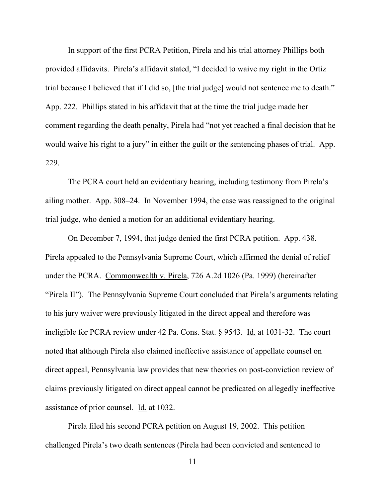In support of the first PCRA Petition, Pirela and his trial attorney Phillips both provided affidavits. Pirela's affidavit stated, "I decided to waive my right in the Ortiz trial because I believed that if I did so, [the trial judge] would not sentence me to death." App. 222. Phillips stated in his affidavit that at the time the trial judge made her comment regarding the death penalty, Pirela had "not yet reached a final decision that he would waive his right to a jury" in either the guilt or the sentencing phases of trial. App. 229.

The PCRA court held an evidentiary hearing, including testimony from Pirela's ailing mother. App. 308–24. In November 1994, the case was reassigned to the original trial judge, who denied a motion for an additional evidentiary hearing.

On December 7, 1994, that judge denied the first PCRA petition. App. 438. Pirela appealed to the Pennsylvania Supreme Court, which affirmed the denial of relief under the PCRA. Commonwealth v. Pirela, 726 A.2d 1026 (Pa. 1999) (hereinafter "Pirela II"). The Pennsylvania Supreme Court concluded that Pirela's arguments relating to his jury waiver were previously litigated in the direct appeal and therefore was ineligible for PCRA review under 42 Pa. Cons. Stat. § 9543. Id. at 1031-32. The court noted that although Pirela also claimed ineffective assistance of appellate counsel on direct appeal, Pennsylvania law provides that new theories on post-conviction review of claims previously litigated on direct appeal cannot be predicated on allegedly ineffective assistance of prior counsel. Id. at 1032.

Pirela filed his second PCRA petition on August 19, 2002. This petition challenged Pirela's two death sentences (Pirela had been convicted and sentenced to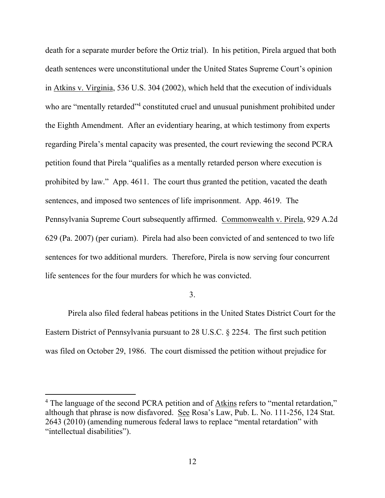death for a separate murder before the Ortiz trial). In his petition, Pirela argued that both death sentences were unconstitutional under the United States Supreme Court's opinion in Atkins v. Virginia, 536 U.S. 304 (2002), which held that the execution of individuals who are "mentally retarded"<sup>4</sup> constituted cruel and unusual punishment prohibited under the Eighth Amendment. After an evidentiary hearing, at which testimony from experts regarding Pirela's mental capacity was presented, the court reviewing the second PCRA petition found that Pirela "qualifies as a mentally retarded person where execution is prohibited by law." App. 4611. The court thus granted the petition, vacated the death sentences, and imposed two sentences of life imprisonment. App. 4619. The Pennsylvania Supreme Court subsequently affirmed. Commonwealth v. Pirela, 929 A.2d 629 (Pa. 2007) (per curiam). Pirela had also been convicted of and sentenced to two life sentences for two additional murders. Therefore, Pirela is now serving four concurrent life sentences for the four murders for which he was convicted.

#### 3.

Pirela also filed federal habeas petitions in the United States District Court for the Eastern District of Pennsylvania pursuant to 28 U.S.C. § 2254. The first such petition was filed on October 29, 1986. The court dismissed the petition without prejudice for

<sup>&</sup>lt;sup>4</sup> The language of the second PCRA petition and of Atkins refers to "mental retardation," although that phrase is now disfavored. See Rosa's Law, Pub. L. No. 111-256, 124 Stat. 2643 (2010) (amending numerous federal laws to replace "mental retardation" with "intellectual disabilities").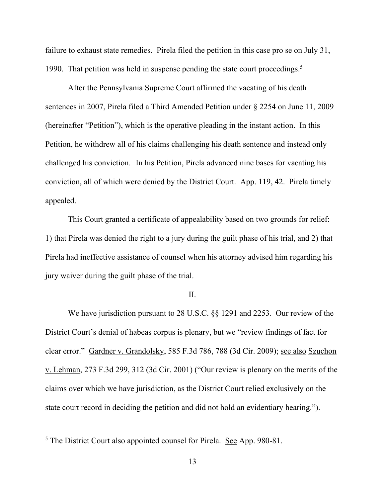failure to exhaust state remedies. Pirela filed the petition in this case pro se on July 31, 1990. That petition was held in suspense pending the state court proceedings.<sup>5</sup>

After the Pennsylvania Supreme Court affirmed the vacating of his death sentences in 2007, Pirela filed a Third Amended Petition under § 2254 on June 11, 2009 (hereinafter "Petition"), which is the operative pleading in the instant action. In this Petition, he withdrew all of his claims challenging his death sentence and instead only challenged his conviction. In his Petition, Pirela advanced nine bases for vacating his conviction, all of which were denied by the District Court. App. 119, 42. Pirela timely appealed.

This Court granted a certificate of appealability based on two grounds for relief: 1) that Pirela was denied the right to a jury during the guilt phase of his trial, and 2) that Pirela had ineffective assistance of counsel when his attorney advised him regarding his jury waiver during the guilt phase of the trial.

## II.

We have jurisdiction pursuant to 28 U.S.C. §§ 1291 and 2253. Our review of the District Court's denial of habeas corpus is plenary, but we "review findings of fact for clear error." Gardner v. Grandolsky, 585 F.3d 786, 788 (3d Cir. 2009); see also Szuchon v. Lehman, 273 F.3d 299, 312 (3d Cir. 2001) ("Our review is plenary on the merits of the claims over which we have jurisdiction, as the District Court relied exclusively on the state court record in deciding the petition and did not hold an evidentiary hearing.").

<sup>5</sup> The District Court also appointed counsel for Pirela. See App. 980-81.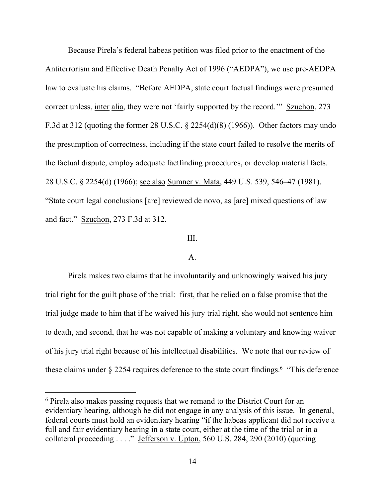Because Pirela's federal habeas petition was filed prior to the enactment of the Antiterrorism and Effective Death Penalty Act of 1996 ("AEDPA"), we use pre-AEDPA law to evaluate his claims. "Before AEDPA, state court factual findings were presumed correct unless, <u>inter alia</u>, they were not 'fairly supported by the record.'" Szuchon, 273 F.3d at 312 (quoting the former 28 U.S.C. § 2254(d)(8) (1966)). Other factors may undo the presumption of correctness, including if the state court failed to resolve the merits of the factual dispute, employ adequate factfinding procedures, or develop material facts. 28 U.S.C. § 2254(d) (1966); see also Sumner v. Mata, 449 U.S. 539, 546–47 (1981). "State court legal conclusions [are] reviewed de novo, as [are] mixed questions of law and fact." Szuchon, 273 F.3d at 312.

## III.

## A.

Pirela makes two claims that he involuntarily and unknowingly waived his jury trial right for the guilt phase of the trial: first, that he relied on a false promise that the trial judge made to him that if he waived his jury trial right, she would not sentence him to death, and second, that he was not capable of making a voluntary and knowing waiver of his jury trial right because of his intellectual disabilities. We note that our review of these claims under  $\S 2254$  requires deference to the state court findings.<sup>6</sup> "This deference

<sup>6</sup> Pirela also makes passing requests that we remand to the District Court for an evidentiary hearing, although he did not engage in any analysis of this issue. In general, federal courts must hold an evidentiary hearing "if the habeas applicant did not receive a full and fair evidentiary hearing in a state court, either at the time of the trial or in a collateral proceeding . . . ." Jefferson v. Upton, 560 U.S. 284, 290 (2010) (quoting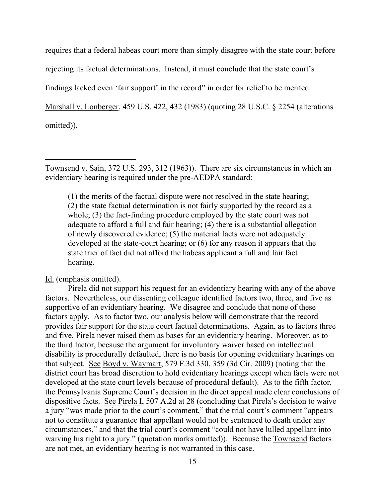requires that a federal habeas court more than simply disagree with the state court before rejecting its factual determinations. Instead, it must conclude that the state court's findings lacked even 'fair support' in the record" in order for relief to be merited. Marshall v. Lonberger, 459 U.S. 422, 432 (1983) (quoting 28 U.S.C. § 2254 (alterations omitted)).

Townsend v. Sain, 372 U.S. 293, 312 (1963)). There are six circumstances in which an evidentiary hearing is required under the pre-AEDPA standard:

(1) the merits of the factual dispute were not resolved in the state hearing; (2) the state factual determination is not fairly supported by the record as a whole; (3) the fact-finding procedure employed by the state court was not adequate to afford a full and fair hearing; (4) there is a substantial allegation of newly discovered evidence; (5) the material facts were not adequately developed at the state-court hearing; or (6) for any reason it appears that the state trier of fact did not afford the habeas applicant a full and fair fact hearing.

Id. (emphasis omitted).

 $\overline{a}$ 

Pirela did not support his request for an evidentiary hearing with any of the above factors. Nevertheless, our dissenting colleague identified factors two, three, and five as supportive of an evidentiary hearing. We disagree and conclude that none of these factors apply. As to factor two, our analysis below will demonstrate that the record provides fair support for the state court factual determinations. Again, as to factors three and five, Pirela never raised them as bases for an evidentiary hearing. Moreover, as to the third factor, because the argument for involuntary waiver based on intellectual disability is procedurally defaulted, there is no basis for opening evidentiary hearings on that subject. See Boyd v. Waymart, 579 F.3d 330, 359 (3d Cir. 2009) (noting that the district court has broad discretion to hold evidentiary hearings except when facts were not developed at the state court levels because of procedural default). As to the fifth factor, the Pennsylvania Supreme Court's decision in the direct appeal made clear conclusions of dispositive facts. See Pirela I, 507 A.2d at 28 (concluding that Pirela's decision to waive a jury "was made prior to the court's comment," that the trial court's comment "appears not to constitute a guarantee that appellant would not be sentenced to death under any circumstances," and that the trial court's comment "could not have lulled appellant into waiving his right to a jury." (quotation marks omitted)). Because the Townsend factors are not met, an evidentiary hearing is not warranted in this case.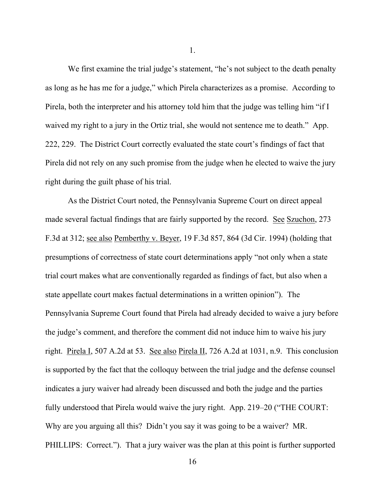We first examine the trial judge's statement, "he's not subject to the death penalty as long as he has me for a judge," which Pirela characterizes as a promise. According to Pirela, both the interpreter and his attorney told him that the judge was telling him "if I waived my right to a jury in the Ortiz trial, she would not sentence me to death." App. 222, 229. The District Court correctly evaluated the state court's findings of fact that Pirela did not rely on any such promise from the judge when he elected to waive the jury right during the guilt phase of his trial.

As the District Court noted, the Pennsylvania Supreme Court on direct appeal made several factual findings that are fairly supported by the record. See Szuchon, 273 F.3d at 312; see also Pemberthy v. Beyer, 19 F.3d 857, 864 (3d Cir. 1994) (holding that presumptions of correctness of state court determinations apply "not only when a state trial court makes what are conventionally regarded as findings of fact, but also when a state appellate court makes factual determinations in a written opinion"). The Pennsylvania Supreme Court found that Pirela had already decided to waive a jury before the judge's comment, and therefore the comment did not induce him to waive his jury right. Pirela I, 507 A.2d at 53. See also Pirela II, 726 A.2d at 1031, n.9. This conclusion is supported by the fact that the colloquy between the trial judge and the defense counsel indicates a jury waiver had already been discussed and both the judge and the parties fully understood that Pirela would waive the jury right. App. 219–20 ("THE COURT: Why are you arguing all this? Didn't you say it was going to be a waiver? MR. PHILLIPS: Correct."). That a jury waiver was the plan at this point is further supported

1.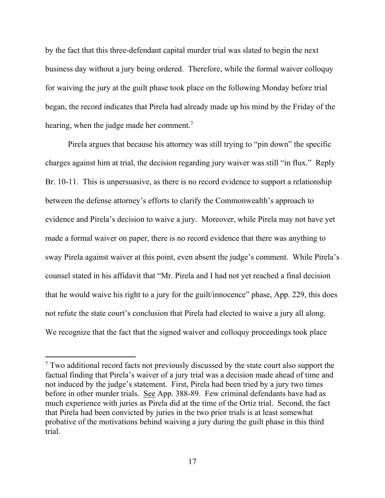by the fact that this three-defendant capital murder trial was slated to begin the next business day without a jury being ordered. Therefore, while the formal waiver colloquy for waiving the jury at the guilt phase took place on the following Monday before trial began, the record indicates that Pirela had already made up his mind by the Friday of the hearing, when the judge made her comment.<sup>7</sup>

Pirela argues that because his attorney was still trying to "pin down" the specific charges against him at trial, the decision regarding jury waiver was still "in flux." Reply Br. 10-11. This is unpersuasive, as there is no record evidence to support a relationship between the defense attorney's efforts to clarify the Commonwealth's approach to evidence and Pirela's decision to waive a jury. Moreover, while Pirela may not have yet made a formal waiver on paper, there is no record evidence that there was anything to sway Pirela against waiver at this point, even absent the judge's comment. While Pirela's counsel stated in his affidavit that "Mr. Pirela and I had not yet reached a final decision that he would waive his right to a jury for the guilt/innocence" phase, App. 229, this does not refute the state court's conclusion that Pirela had elected to waive a jury all along. We recognize that the fact that the signed waiver and colloquy proceedings took place

<sup>7</sup> Two additional record facts not previously discussed by the state court also support the factual finding that Pirela's waiver of a jury trial was a decision made ahead of time and not induced by the judge's statement. First, Pirela had been tried by a jury two times before in other murder trials. See App. 388-89. Few criminal defendants have had as much experience with juries as Pirela did at the time of the Ortiz trial. Second, the fact that Pirela had been convicted by juries in the two prior trials is at least somewhat probative of the motivations behind waiving a jury during the guilt phase in this third trial.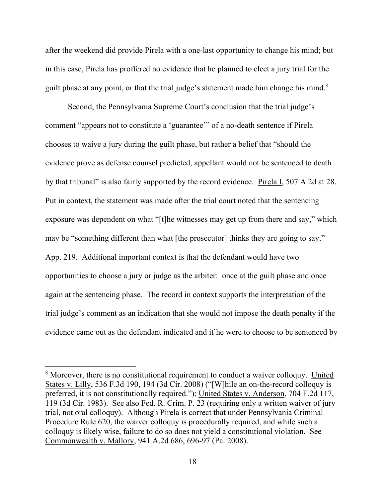after the weekend did provide Pirela with a one-last opportunity to change his mind; but in this case, Pirela has proffered no evidence that he planned to elect a jury trial for the guilt phase at any point, or that the trial judge's statement made him change his mind.<sup>8</sup>

Second, the Pennsylvania Supreme Court's conclusion that the trial judge's comment "appears not to constitute a 'guarantee'" of a no-death sentence if Pirela chooses to waive a jury during the guilt phase, but rather a belief that "should the evidence prove as defense counsel predicted, appellant would not be sentenced to death by that tribunal" is also fairly supported by the record evidence. Pirela I, 507 A.2d at 28. Put in context, the statement was made after the trial court noted that the sentencing exposure was dependent on what "[t]he witnesses may get up from there and say," which may be "something different than what [the prosecutor] thinks they are going to say." App. 219. Additional important context is that the defendant would have two opportunities to choose a jury or judge as the arbiter: once at the guilt phase and once again at the sentencing phase. The record in context supports the interpretation of the trial judge's comment as an indication that she would not impose the death penalty if the evidence came out as the defendant indicated and if he were to choose to be sentenced by

<sup>8</sup> Moreover, there is no constitutional requirement to conduct a waiver colloquy. United States v. Lilly, 536 F.3d 190, 194 (3d Cir. 2008) ("[W]hile an on-the-record colloquy is preferred, it is not constitutionally required."); United States v. Anderson, 704 F.2d 117, 119 (3d Cir. 1983). See also Fed. R. Crim. P. 23 (requiring only a written waiver of jury trial, not oral colloquy). Although Pirela is correct that under Pennsylvania Criminal Procedure Rule 620, the waiver colloquy is procedurally required, and while such a colloquy is likely wise, failure to do so does not yield a constitutional violation. See Commonwealth v. Mallory, 941 A.2d 686, 696-97 (Pa. 2008).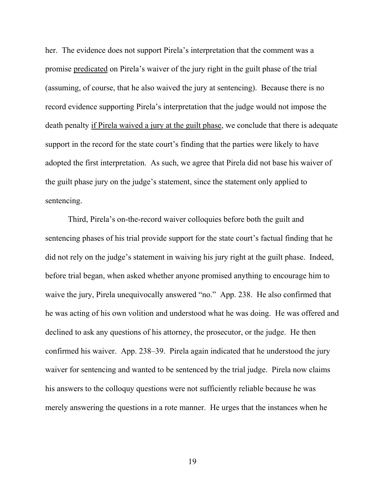her. The evidence does not support Pirela's interpretation that the comment was a promise predicated on Pirela's waiver of the jury right in the guilt phase of the trial (assuming, of course, that he also waived the jury at sentencing). Because there is no record evidence supporting Pirela's interpretation that the judge would not impose the death penalty if Pirela waived a jury at the guilt phase, we conclude that there is adequate support in the record for the state court's finding that the parties were likely to have adopted the first interpretation. As such, we agree that Pirela did not base his waiver of the guilt phase jury on the judge's statement, since the statement only applied to sentencing.

Third, Pirela's on-the-record waiver colloquies before both the guilt and sentencing phases of his trial provide support for the state court's factual finding that he did not rely on the judge's statement in waiving his jury right at the guilt phase. Indeed, before trial began, when asked whether anyone promised anything to encourage him to waive the jury, Pirela unequivocally answered "no." App. 238. He also confirmed that he was acting of his own volition and understood what he was doing. He was offered and declined to ask any questions of his attorney, the prosecutor, or the judge. He then confirmed his waiver. App. 238–39. Pirela again indicated that he understood the jury waiver for sentencing and wanted to be sentenced by the trial judge. Pirela now claims his answers to the colloquy questions were not sufficiently reliable because he was merely answering the questions in a rote manner. He urges that the instances when he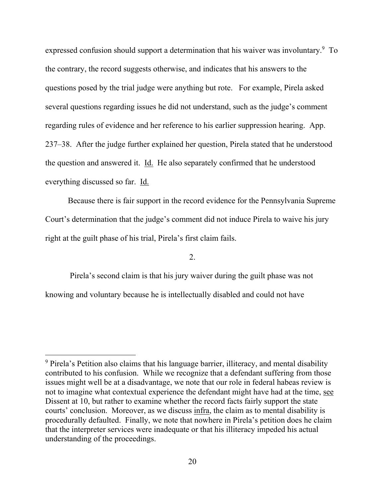expressed confusion should support a determination that his waiver was involuntary.<sup>9</sup> To the contrary, the record suggests otherwise, and indicates that his answers to the questions posed by the trial judge were anything but rote. For example, Pirela asked several questions regarding issues he did not understand, such as the judge's comment regarding rules of evidence and her reference to his earlier suppression hearing. App. 237–38. After the judge further explained her question, Pirela stated that he understood the question and answered it. Id. He also separately confirmed that he understood everything discussed so far. Id.

Because there is fair support in the record evidence for the Pennsylvania Supreme Court's determination that the judge's comment did not induce Pirela to waive his jury right at the guilt phase of his trial, Pirela's first claim fails.

2.

Pirela's second claim is that his jury waiver during the guilt phase was not knowing and voluntary because he is intellectually disabled and could not have

<sup>9</sup> Pirela's Petition also claims that his language barrier, illiteracy, and mental disability contributed to his confusion. While we recognize that a defendant suffering from those issues might well be at a disadvantage, we note that our role in federal habeas review is not to imagine what contextual experience the defendant might have had at the time, see Dissent at 10, but rather to examine whether the record facts fairly support the state courts' conclusion. Moreover, as we discuss infra, the claim as to mental disability is procedurally defaulted. Finally, we note that nowhere in Pirela's petition does he claim that the interpreter services were inadequate or that his illiteracy impeded his actual understanding of the proceedings.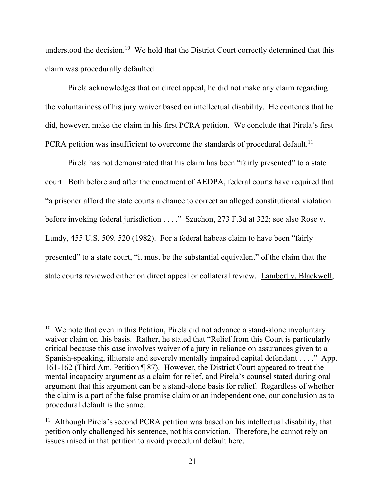understood the decision.<sup>10</sup> We hold that the District Court correctly determined that this claim was procedurally defaulted.

Pirela acknowledges that on direct appeal, he did not make any claim regarding the voluntariness of his jury waiver based on intellectual disability. He contends that he did, however, make the claim in his first PCRA petition. We conclude that Pirela's first PCRA petition was insufficient to overcome the standards of procedural default.<sup>11</sup>

Pirela has not demonstrated that his claim has been "fairly presented" to a state court. Both before and after the enactment of AEDPA, federal courts have required that "a prisoner afford the state courts a chance to correct an alleged constitutional violation before invoking federal jurisdiction . . . ." Szuchon, 273 F.3d at 322; see also Rose v. Lundy, 455 U.S. 509, 520 (1982). For a federal habeas claim to have been "fairly presented" to a state court, "it must be the substantial equivalent" of the claim that the state courts reviewed either on direct appeal or collateral review. Lambert v. Blackwell,

<sup>&</sup>lt;sup>10</sup> We note that even in this Petition, Pirela did not advance a stand-alone involuntary waiver claim on this basis. Rather, he stated that "Relief from this Court is particularly critical because this case involves waiver of a jury in reliance on assurances given to a Spanish-speaking, illiterate and severely mentally impaired capital defendant . . . ." App. 161-162 (Third Am. Petition ¶ 87). However, the District Court appeared to treat the mental incapacity argument as a claim for relief, and Pirela's counsel stated during oral argument that this argument can be a stand-alone basis for relief. Regardless of whether the claim is a part of the false promise claim or an independent one, our conclusion as to procedural default is the same.

<sup>&</sup>lt;sup>11</sup> Although Pirela's second PCRA petition was based on his intellectual disability, that petition only challenged his sentence, not his conviction. Therefore, he cannot rely on issues raised in that petition to avoid procedural default here.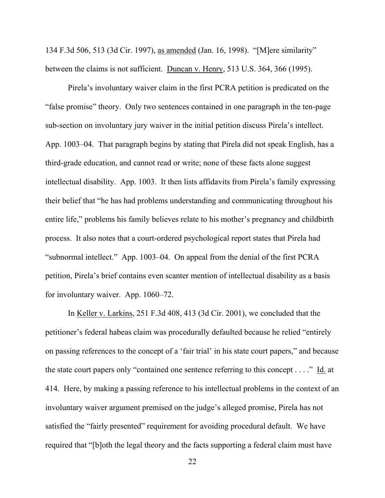134 F.3d 506, 513 (3d Cir. 1997), as amended (Jan. 16, 1998). "[M]ere similarity" between the claims is not sufficient. Duncan v. Henry, 513 U.S. 364, 366 (1995).

Pirela's involuntary waiver claim in the first PCRA petition is predicated on the "false promise" theory. Only two sentences contained in one paragraph in the ten-page sub-section on involuntary jury waiver in the initial petition discuss Pirela's intellect. App. 1003–04. That paragraph begins by stating that Pirela did not speak English, has a third-grade education, and cannot read or write; none of these facts alone suggest intellectual disability. App. 1003. It then lists affidavits from Pirela's family expressing their belief that "he has had problems understanding and communicating throughout his entire life," problems his family believes relate to his mother's pregnancy and childbirth process. It also notes that a court-ordered psychological report states that Pirela had "subnormal intellect." App. 1003–04. On appeal from the denial of the first PCRA petition, Pirela's brief contains even scanter mention of intellectual disability as a basis for involuntary waiver. App. 1060–72.

In Keller v. Larkins, 251 F.3d 408, 413 (3d Cir. 2001), we concluded that the petitioner's federal habeas claim was procedurally defaulted because he relied "entirely on passing references to the concept of a 'fair trial' in his state court papers," and because the state court papers only "contained one sentence referring to this concept . . . ." Id. at 414. Here, by making a passing reference to his intellectual problems in the context of an involuntary waiver argument premised on the judge's alleged promise, Pirela has not satisfied the "fairly presented" requirement for avoiding procedural default. We have required that "[b]oth the legal theory and the facts supporting a federal claim must have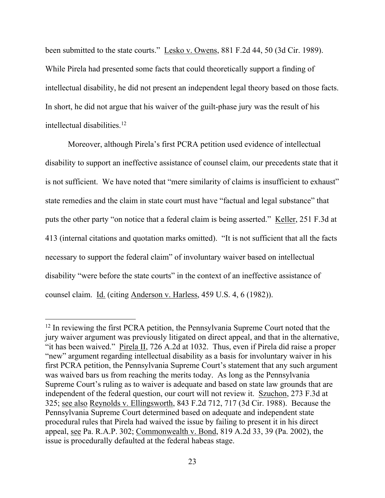been submitted to the state courts." Lesko v. Owens, 881 F.2d 44, 50 (3d Cir. 1989). While Pirela had presented some facts that could theoretically support a finding of intellectual disability, he did not present an independent legal theory based on those facts. In short, he did not argue that his waiver of the guilt-phase jury was the result of his intellectual disabilities.<sup>12</sup>

Moreover, although Pirela's first PCRA petition used evidence of intellectual disability to support an ineffective assistance of counsel claim, our precedents state that it is not sufficient. We have noted that "mere similarity of claims is insufficient to exhaust" state remedies and the claim in state court must have "factual and legal substance" that puts the other party "on notice that a federal claim is being asserted." Keller, 251 F.3d at 413 (internal citations and quotation marks omitted). "It is not sufficient that all the facts necessary to support the federal claim" of involuntary waiver based on intellectual disability "were before the state courts" in the context of an ineffective assistance of counsel claim. Id. (citing Anderson v. Harless, 459 U.S. 4, 6 (1982)).

<sup>&</sup>lt;sup>12</sup> In reviewing the first PCRA petition, the Pennsylvania Supreme Court noted that the jury waiver argument was previously litigated on direct appeal, and that in the alternative, "it has been waived." Pirela II, 726 A.2d at 1032. Thus, even if Pirela did raise a proper "new" argument regarding intellectual disability as a basis for involuntary waiver in his first PCRA petition, the Pennsylvania Supreme Court's statement that any such argument was waived bars us from reaching the merits today. As long as the Pennsylvania Supreme Court's ruling as to waiver is adequate and based on state law grounds that are independent of the federal question, our court will not review it. Szuchon, 273 F.3d at 325; see also Reynolds v. Ellingsworth, 843 F.2d 712, 717 (3d Cir. 1988). Because the Pennsylvania Supreme Court determined based on adequate and independent state procedural rules that Pirela had waived the issue by failing to present it in his direct appeal, see Pa. R.A.P. 302; Commonwealth v. Bond, 819 A.2d 33, 39 (Pa. 2002), the issue is procedurally defaulted at the federal habeas stage.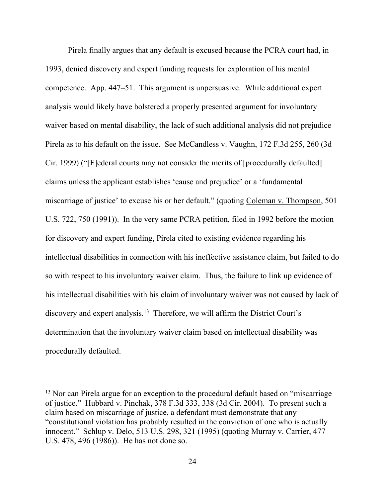Pirela finally argues that any default is excused because the PCRA court had, in 1993, denied discovery and expert funding requests for exploration of his mental competence. App. 447–51. This argument is unpersuasive. While additional expert analysis would likely have bolstered a properly presented argument for involuntary waiver based on mental disability, the lack of such additional analysis did not prejudice Pirela as to his default on the issue. See McCandless v. Vaughn, 172 F.3d 255, 260 (3d Cir. 1999) ("[F]ederal courts may not consider the merits of [procedurally defaulted] claims unless the applicant establishes 'cause and prejudice' or a 'fundamental miscarriage of justice' to excuse his or her default." (quoting Coleman v. Thompson, 501 U.S. 722, 750 (1991)). In the very same PCRA petition, filed in 1992 before the motion for discovery and expert funding, Pirela cited to existing evidence regarding his intellectual disabilities in connection with his ineffective assistance claim, but failed to do so with respect to his involuntary waiver claim. Thus, the failure to link up evidence of his intellectual disabilities with his claim of involuntary waiver was not caused by lack of discovery and expert analysis.<sup>13</sup> Therefore, we will affirm the District Court's determination that the involuntary waiver claim based on intellectual disability was procedurally defaulted.

<sup>&</sup>lt;sup>13</sup> Nor can Pirela argue for an exception to the procedural default based on "miscarriage" of justice." Hubbard v. Pinchak, 378 F.3d 333, 338 (3d Cir. 2004). To present such a claim based on miscarriage of justice, a defendant must demonstrate that any "constitutional violation has probably resulted in the conviction of one who is actually innocent." Schlup v. Delo, 513 U.S. 298, 321 (1995) (quoting Murray v. Carrier, 477 U.S. 478, 496 (1986)). He has not done so.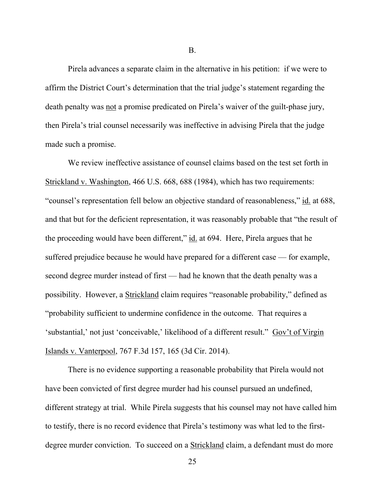Pirela advances a separate claim in the alternative in his petition: if we were to affirm the District Court's determination that the trial judge's statement regarding the death penalty was not a promise predicated on Pirela's waiver of the guilt-phase jury, then Pirela's trial counsel necessarily was ineffective in advising Pirela that the judge made such a promise.

We review ineffective assistance of counsel claims based on the test set forth in Strickland v. Washington, 466 U.S. 668, 688 (1984), which has two requirements: "counsel's representation fell below an objective standard of reasonableness," id. at 688, and that but for the deficient representation, it was reasonably probable that "the result of the proceeding would have been different," id. at 694. Here, Pirela argues that he suffered prejudice because he would have prepared for a different case — for example, second degree murder instead of first — had he known that the death penalty was a possibility. However, a Strickland claim requires "reasonable probability," defined as "probability sufficient to undermine confidence in the outcome. That requires a 'substantial,' not just 'conceivable,' likelihood of a different result." Gov't of Virgin Islands v. Vanterpool, 767 F.3d 157, 165 (3d Cir. 2014).

There is no evidence supporting a reasonable probability that Pirela would not have been convicted of first degree murder had his counsel pursued an undefined, different strategy at trial. While Pirela suggests that his counsel may not have called him to testify, there is no record evidence that Pirela's testimony was what led to the firstdegree murder conviction. To succeed on a Strickland claim, a defendant must do more

B.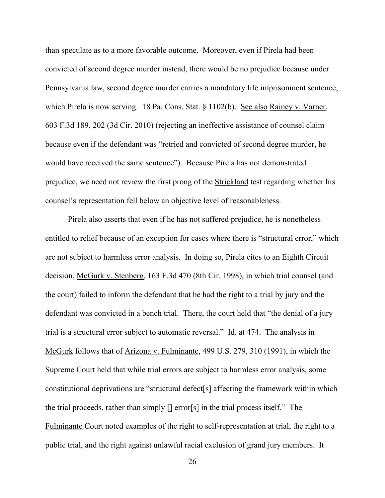than speculate as to a more favorable outcome. Moreover, even if Pirela had been convicted of second degree murder instead, there would be no prejudice because under Pennsylvania law, second degree murder carries a mandatory life imprisonment sentence, which Pirela is now serving. 18 Pa. Cons. Stat. § 1102(b). See also Rainey v. Varner, 603 F.3d 189, 202 (3d Cir. 2010) (rejecting an ineffective assistance of counsel claim because even if the defendant was "retried and convicted of second degree murder, he would have received the same sentence"). Because Pirela has not demonstrated prejudice, we need not review the first prong of the Strickland test regarding whether his counsel's representation fell below an objective level of reasonableness.

Pirela also asserts that even if he has not suffered prejudice, he is nonetheless entitled to relief because of an exception for cases where there is "structural error," which are not subject to harmless error analysis. In doing so, Pirela cites to an Eighth Circuit decision, McGurk v. Stenberg, 163 F.3d 470 (8th Cir. 1998), in which trial counsel (and the court) failed to inform the defendant that he had the right to a trial by jury and the defendant was convicted in a bench trial. There, the court held that "the denial of a jury trial is a structural error subject to automatic reversal." Id. at 474. The analysis in McGurk follows that of Arizona v. Fulminante, 499 U.S. 279, 310 (1991), in which the Supreme Court held that while trial errors are subject to harmless error analysis, some constitutional deprivations are "structural defect[s] affecting the framework within which the trial proceeds, rather than simply [] error[s] in the trial process itself." The Fulminante Court noted examples of the right to self-representation at trial, the right to a public trial, and the right against unlawful racial exclusion of grand jury members. It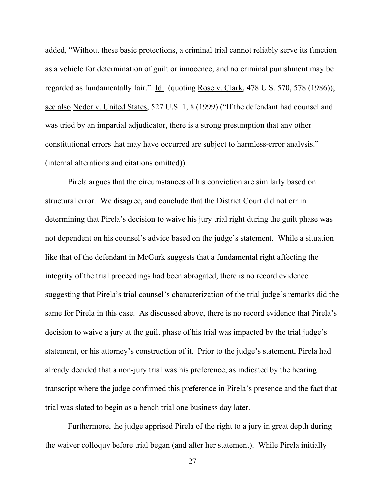added, "Without these basic protections, a criminal trial cannot reliably serve its function as a vehicle for determination of guilt or innocence, and no criminal punishment may be regarded as fundamentally fair." Id. (quoting Rose v. Clark, 478 U.S. 570, 578 (1986)); see also Neder v. United States, 527 U.S. 1, 8 (1999) ("If the defendant had counsel and was tried by an impartial adjudicator, there is a strong presumption that any other constitutional errors that may have occurred are subject to harmless-error analysis." (internal alterations and citations omitted)).

Pirela argues that the circumstances of his conviction are similarly based on structural error. We disagree, and conclude that the District Court did not err in determining that Pirela's decision to waive his jury trial right during the guilt phase was not dependent on his counsel's advice based on the judge's statement. While a situation like that of the defendant in McGurk suggests that a fundamental right affecting the integrity of the trial proceedings had been abrogated, there is no record evidence suggesting that Pirela's trial counsel's characterization of the trial judge's remarks did the same for Pirela in this case. As discussed above, there is no record evidence that Pirela's decision to waive a jury at the guilt phase of his trial was impacted by the trial judge's statement, or his attorney's construction of it. Prior to the judge's statement, Pirela had already decided that a non-jury trial was his preference, as indicated by the hearing transcript where the judge confirmed this preference in Pirela's presence and the fact that trial was slated to begin as a bench trial one business day later.

Furthermore, the judge apprised Pirela of the right to a jury in great depth during the waiver colloquy before trial began (and after her statement). While Pirela initially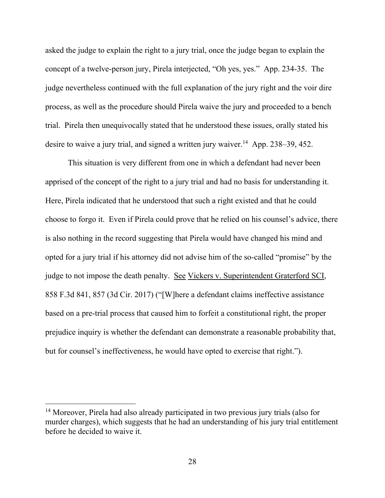asked the judge to explain the right to a jury trial, once the judge began to explain the concept of a twelve-person jury, Pirela interjected, "Oh yes, yes." App. 234-35. The judge nevertheless continued with the full explanation of the jury right and the voir dire process, as well as the procedure should Pirela waive the jury and proceeded to a bench trial. Pirela then unequivocally stated that he understood these issues, orally stated his desire to waive a jury trial, and signed a written jury waiver.<sup>14</sup> App. 238–39, 452.

This situation is very different from one in which a defendant had never been apprised of the concept of the right to a jury trial and had no basis for understanding it. Here, Pirela indicated that he understood that such a right existed and that he could choose to forgo it. Even if Pirela could prove that he relied on his counsel's advice, there is also nothing in the record suggesting that Pirela would have changed his mind and opted for a jury trial if his attorney did not advise him of the so-called "promise" by the judge to not impose the death penalty. See Vickers v. Superintendent Graterford SCI, 858 F.3d 841, 857 (3d Cir. 2017) ("[W]here a defendant claims ineffective assistance based on a pre-trial process that caused him to forfeit a constitutional right, the proper prejudice inquiry is whether the defendant can demonstrate a reasonable probability that, but for counsel's ineffectiveness, he would have opted to exercise that right.").

<sup>&</sup>lt;sup>14</sup> Moreover, Pirela had also already participated in two previous jury trials (also for murder charges), which suggests that he had an understanding of his jury trial entitlement before he decided to waive it.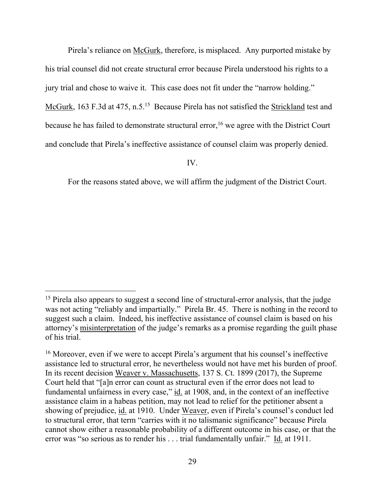Pirela's reliance on McGurk, therefore, is misplaced. Any purported mistake by his trial counsel did not create structural error because Pirela understood his rights to a jury trial and chose to waive it. This case does not fit under the "narrow holding." McGurk, 163 F.3d at 475, n.5.<sup>15</sup> Because Pirela has not satisfied the Strickland test and because he has failed to demonstrate structural error,<sup>16</sup> we agree with the District Court and conclude that Pirela's ineffective assistance of counsel claim was properly denied.

IV.

For the reasons stated above, we will affirm the judgment of the District Court.

<sup>&</sup>lt;sup>15</sup> Pirela also appears to suggest a second line of structural-error analysis, that the judge was not acting "reliably and impartially." Pirela Br. 45. There is nothing in the record to suggest such a claim. Indeed, his ineffective assistance of counsel claim is based on his attorney's misinterpretation of the judge's remarks as a promise regarding the guilt phase of his trial.

<sup>&</sup>lt;sup>16</sup> Moreover, even if we were to accept Pirela's argument that his counsel's ineffective assistance led to structural error, he nevertheless would not have met his burden of proof. In its recent decision Weaver v. Massachusetts, 137 S. Ct. 1899 (2017), the Supreme Court held that "[a]n error can count as structural even if the error does not lead to fundamental unfairness in every case," id. at 1908, and, in the context of an ineffective assistance claim in a habeas petition, may not lead to relief for the petitioner absent a showing of prejudice, id. at 1910. Under Weaver, even if Pirela's counsel's conduct led to structural error, that term "carries with it no talismanic significance" because Pirela cannot show either a reasonable probability of a different outcome in his case, or that the error was "so serious as to render his . . . trial fundamentally unfair." Id. at 1911.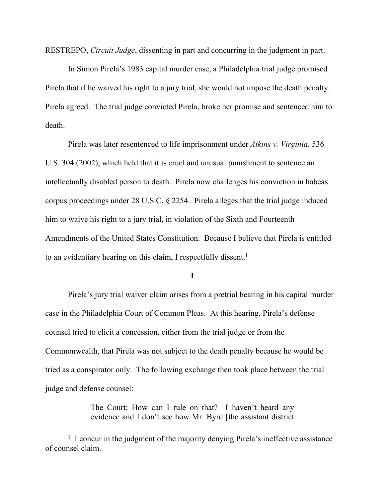RESTREPO, *Circuit Judge*, dissenting in part and concurring in the judgment in part.

In Simon Pirela's 1983 capital murder case, a Philadelphia trial judge promised Pirela that if he waived his right to a jury trial, she would not impose the death penalty. Pirela agreed. The trial judge convicted Pirela, broke her promise and sentenced him to death.

Pirela was later resentenced to life imprisonment under *Atkins v. Virginia*, 536 U.S. 304 (2002), which held that it is cruel and unusual punishment to sentence an intellectually disabled person to death. Pirela now challenges his conviction in habeas corpus proceedings under 28 U.S.C. § 2254. Pirela alleges that the trial judge induced him to waive his right to a jury trial, in violation of the Sixth and Fourteenth Amendments of the United States Constitution. Because I believe that Pirela is entitled to an evidentiary hearing on this claim, I respectfully dissent. 1

**I**

Pirela's jury trial waiver claim arises from a pretrial hearing in his capital murder case in the Philadelphia Court of Common Pleas. At this hearing, Pirela's defense counsel tried to elicit a concession, either from the trial judge or from the Commonwealth, that Pirela was not subject to the death penalty because he would be tried as a conspirator only. The following exchange then took place between the trial judge and defense counsel:

> The Court: How can I rule on that? I haven't heard any evidence and I don't see how Mr. Byrd [the assistant district

<sup>&</sup>lt;sup>1</sup> I concur in the judgment of the majority denying Pirela's ineffective assistance of counsel claim.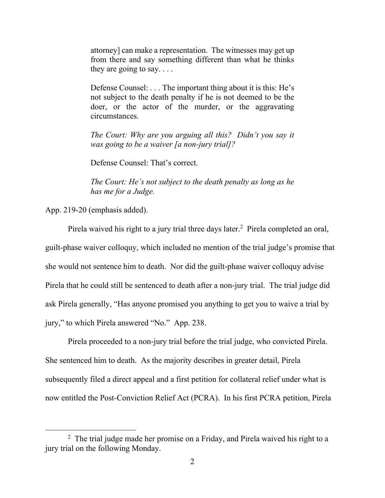attorney] can make a representation. The witnesses may get up from there and say something different than what he thinks they are going to say.  $\dots$ 

Defense Counsel: . . . The important thing about it is this: He's not subject to the death penalty if he is not deemed to be the doer, or the actor of the murder, or the aggravating circumstances.

*The Court: Why are you arguing all this? Didn't you say it was going to be a waiver [a non-jury trial]?*

Defense Counsel: That's correct.

*The Court: He's not subject to the death penalty as long as he has me for a Judge.* 

App. 219-20 (emphasis added).

 $\overline{a}$ 

Pirela waived his right to a jury trial three days later. <sup>2</sup> Pirela completed an oral, guilt-phase waiver colloquy, which included no mention of the trial judge's promise that she would not sentence him to death. Nor did the guilt-phase waiver colloquy advise Pirela that he could still be sentenced to death after a non-jury trial. The trial judge did ask Pirela generally, "Has anyone promised you anything to get you to waive a trial by jury," to which Pirela answered "No." App. 238.

Pirela proceeded to a non-jury trial before the trial judge, who convicted Pirela. She sentenced him to death. As the majority describes in greater detail, Pirela subsequently filed a direct appeal and a first petition for collateral relief under what is now entitled the Post-Conviction Relief Act (PCRA). In his first PCRA petition, Pirela

<sup>&</sup>lt;sup>2</sup> The trial judge made her promise on a Friday, and Pirela waived his right to a jury trial on the following Monday.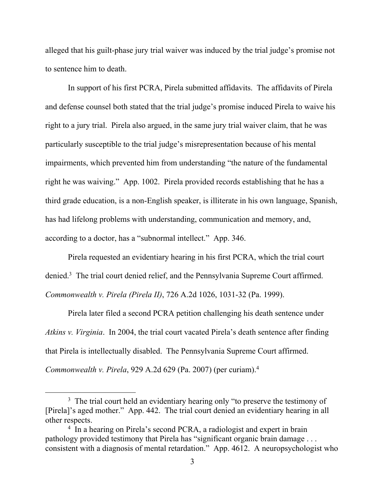alleged that his guilt-phase jury trial waiver was induced by the trial judge's promise not to sentence him to death.

In support of his first PCRA, Pirela submitted affidavits. The affidavits of Pirela and defense counsel both stated that the trial judge's promise induced Pirela to waive his right to a jury trial. Pirela also argued, in the same jury trial waiver claim, that he was particularly susceptible to the trial judge's misrepresentation because of his mental impairments, which prevented him from understanding "the nature of the fundamental right he was waiving." App. 1002. Pirela provided records establishing that he has a third grade education, is a non-English speaker, is illiterate in his own language, Spanish, has had lifelong problems with understanding, communication and memory, and, according to a doctor, has a "subnormal intellect." App. 346.

Pirela requested an evidentiary hearing in his first PCRA, which the trial court denied. 3 The trial court denied relief, and the Pennsylvania Supreme Court affirmed. *Commonwealth v. Pirela (Pirela II)*, 726 A.2d 1026, 1031-32 (Pa. 1999).

Pirela later filed a second PCRA petition challenging his death sentence under *Atkins v. Virginia*. In 2004, the trial court vacated Pirela's death sentence after finding that Pirela is intellectually disabled. The Pennsylvania Supreme Court affirmed. *Commonwealth v. Pirela*, 929 A.2d 629 (Pa. 2007) (per curiam).<sup>4</sup>

<sup>&</sup>lt;sup>3</sup> The trial court held an evidentiary hearing only "to preserve the testimony of [Pirela]'s aged mother." App. 442. The trial court denied an evidentiary hearing in all other respects.

<sup>&</sup>lt;sup>4</sup> In a hearing on Pirela's second PCRA, a radiologist and expert in brain pathology provided testimony that Pirela has "significant organic brain damage . . . consistent with a diagnosis of mental retardation." App. 4612. A neuropsychologist who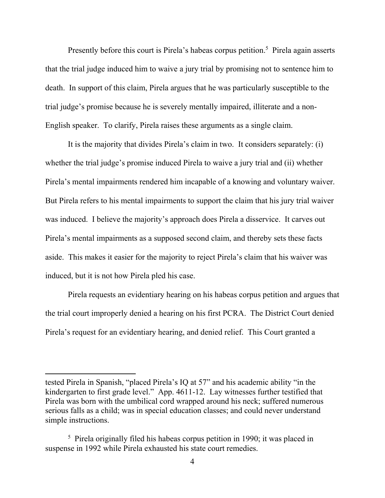Presently before this court is Pirela's habeas corpus petition.<sup>5</sup> Pirela again asserts that the trial judge induced him to waive a jury trial by promising not to sentence him to death. In support of this claim, Pirela argues that he was particularly susceptible to the trial judge's promise because he is severely mentally impaired, illiterate and a non-English speaker. To clarify, Pirela raises these arguments as a single claim.

It is the majority that divides Pirela's claim in two. It considers separately: (i) whether the trial judge's promise induced Pirela to waive a jury trial and (ii) whether Pirela's mental impairments rendered him incapable of a knowing and voluntary waiver. But Pirela refers to his mental impairments to support the claim that his jury trial waiver was induced. I believe the majority's approach does Pirela a disservice. It carves out Pirela's mental impairments as a supposed second claim, and thereby sets these facts aside. This makes it easier for the majority to reject Pirela's claim that his waiver was induced, but it is not how Pirela pled his case.

Pirela requests an evidentiary hearing on his habeas corpus petition and argues that the trial court improperly denied a hearing on his first PCRA. The District Court denied Pirela's request for an evidentiary hearing, and denied relief. This Court granted a

tested Pirela in Spanish, "placed Pirela's IQ at 57" and his academic ability "in the kindergarten to first grade level." App. 4611-12. Lay witnesses further testified that Pirela was born with the umbilical cord wrapped around his neck; suffered numerous serious falls as a child; was in special education classes; and could never understand simple instructions.

<sup>&</sup>lt;sup>5</sup> Pirela originally filed his habeas corpus petition in 1990; it was placed in suspense in 1992 while Pirela exhausted his state court remedies.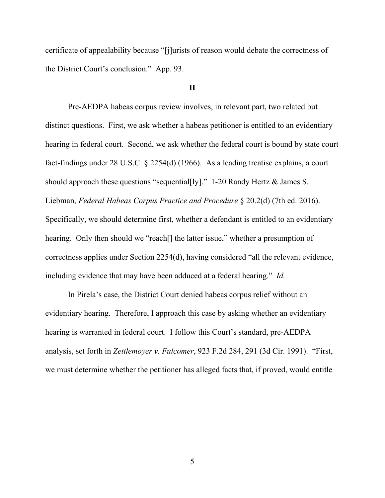certificate of appealability because "[j]urists of reason would debate the correctness of the District Court's conclusion." App. 93.

## **II**

Pre-AEDPA habeas corpus review involves, in relevant part, two related but distinct questions. First, we ask whether a habeas petitioner is entitled to an evidentiary hearing in federal court. Second, we ask whether the federal court is bound by state court fact-findings under 28 U.S.C. § 2254(d) (1966). As a leading treatise explains, a court should approach these questions "sequential[ly]." 1-20 Randy Hertz & James S. Liebman, *Federal Habeas Corpus Practice and Procedure* § 20.2(d) (7th ed. 2016). Specifically, we should determine first, whether a defendant is entitled to an evidentiary hearing. Only then should we "reach<sup>[]</sup> the latter issue," whether a presumption of correctness applies under Section 2254(d), having considered "all the relevant evidence, including evidence that may have been adduced at a federal hearing." *Id.*

In Pirela's case, the District Court denied habeas corpus relief without an evidentiary hearing. Therefore, I approach this case by asking whether an evidentiary hearing is warranted in federal court. I follow this Court's standard, pre-AEDPA analysis, set forth in *Zettlemoyer v. Fulcomer*, 923 F.2d 284, 291 (3d Cir. 1991). "First, we must determine whether the petitioner has alleged facts that, if proved, would entitle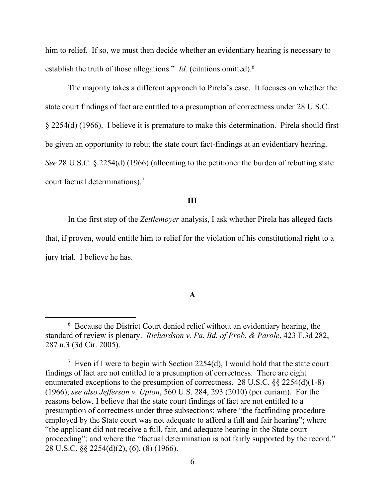him to relief. If so, we must then decide whether an evidentiary hearing is necessary to establish the truth of those allegations." *Id.* (citations omitted).<sup>6</sup>

The majority takes a different approach to Pirela's case. It focuses on whether the state court findings of fact are entitled to a presumption of correctness under 28 U.S.C. § 2254(d) (1966). I believe it is premature to make this determination. Pirela should first be given an opportunity to rebut the state court fact-findings at an evidentiary hearing. *See* 28 U.S.C. § 2254(d) (1966) (allocating to the petitioner the burden of rebutting state court factual determinations).<sup>7</sup>

#### **III**

In the first step of the *Zettlemoyer* analysis, I ask whether Pirela has alleged facts that, if proven, would entitle him to relief for the violation of his constitutional right to a jury trial. I believe he has.

#### **A**

<sup>6</sup> Because the District Court denied relief without an evidentiary hearing, the standard of review is plenary. *Richardson v. Pa. Bd. of Prob. & Parole*, 423 F.3d 282, 287 n.3 (3d Cir. 2005).

<sup>&</sup>lt;sup>7</sup> Even if I were to begin with Section 2254(d), I would hold that the state court findings of fact are not entitled to a presumption of correctness. There are eight enumerated exceptions to the presumption of correctness. 28 U.S.C. §§ 2254(d)(1-8) (1966); *see also Jefferson v. Upton*, 560 U.S. 284, 293 (2010) (per curiam). For the reasons below, I believe that the state court findings of fact are not entitled to a presumption of correctness under three subsections: where "the factfinding procedure employed by the State court was not adequate to afford a full and fair hearing"; where "the applicant did not receive a full, fair, and adequate hearing in the State court proceeding"; and where the "factual determination is not fairly supported by the record." 28 U.S.C. §§ 2254(d)(2), (6), (8) (1966).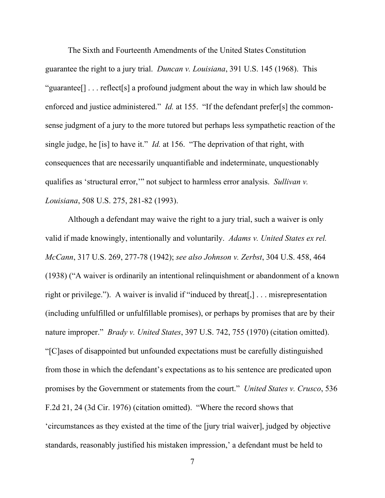The Sixth and Fourteenth Amendments of the United States Constitution guarantee the right to a jury trial. *Duncan v. Louisiana*, 391 U.S. 145 (1968). This "guarantee[] . . . reflect[s] a profound judgment about the way in which law should be enforced and justice administered." *Id.* at 155. "If the defendant prefer[s] the commonsense judgment of a jury to the more tutored but perhaps less sympathetic reaction of the single judge, he [is] to have it." *Id.* at 156. "The deprivation of that right, with consequences that are necessarily unquantifiable and indeterminate, unquestionably qualifies as 'structural error,'" not subject to harmless error analysis. *Sullivan v. Louisiana*, 508 U.S. 275, 281-82 (1993).

Although a defendant may waive the right to a jury trial, such a waiver is only valid if made knowingly, intentionally and voluntarily. *Adams v. United States ex rel. McCann*, 317 U.S. 269, 277-78 (1942); *see also Johnson v. Zerbst*, 304 U.S. 458, 464 (1938) ("A waiver is ordinarily an intentional relinquishment or abandonment of a known right or privilege."). A waiver is invalid if "induced by threat[,] . . . misrepresentation (including unfulfilled or unfulfillable promises), or perhaps by promises that are by their nature improper." *Brady v. United States*, 397 U.S. 742, 755 (1970) (citation omitted). "[C]ases of disappointed but unfounded expectations must be carefully distinguished from those in which the defendant's expectations as to his sentence are predicated upon promises by the Government or statements from the court." *United States v. Crusco*, 536 F.2d 21, 24 (3d Cir. 1976) (citation omitted). "Where the record shows that 'circumstances as they existed at the time of the [jury trial waiver], judged by objective standards, reasonably justified his mistaken impression,' a defendant must be held to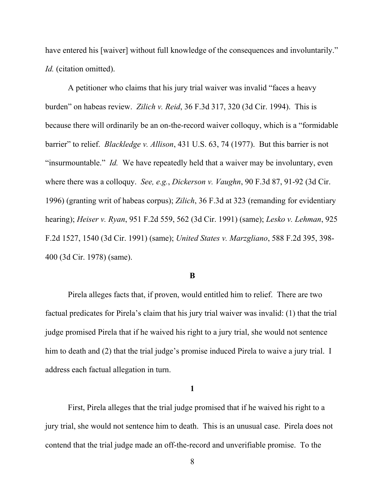have entered his [waiver] without full knowledge of the consequences and involuntarily." *Id.* (citation omitted).

A petitioner who claims that his jury trial waiver was invalid "faces a heavy burden" on habeas review. *Zilich v. Reid*, 36 F.3d 317, 320 (3d Cir. 1994). This is because there will ordinarily be an on-the-record waiver colloquy, which is a "formidable barrier" to relief. *Blackledge v. Allison*, 431 U.S. 63, 74 (1977). But this barrier is not "insurmountable." *Id.* We have repeatedly held that a waiver may be involuntary, even where there was a colloquy. *See, e.g.*, *Dickerson v. Vaughn*, 90 F.3d 87, 91-92 (3d Cir. 1996) (granting writ of habeas corpus); *Zilich*, 36 F.3d at 323 (remanding for evidentiary hearing); *Heiser v. Ryan*, 951 F.2d 559, 562 (3d Cir. 1991) (same); *Lesko v. Lehman*, 925 F.2d 1527, 1540 (3d Cir. 1991) (same); *United States v. Marzgliano*, 588 F.2d 395, 398- 400 (3d Cir. 1978) (same).

#### **B**

Pirela alleges facts that, if proven, would entitled him to relief. There are two factual predicates for Pirela's claim that his jury trial waiver was invalid: (1) that the trial judge promised Pirela that if he waived his right to a jury trial, she would not sentence him to death and (2) that the trial judge's promise induced Pirela to waive a jury trial. I address each factual allegation in turn.

#### **1**

First, Pirela alleges that the trial judge promised that if he waived his right to a jury trial, she would not sentence him to death. This is an unusual case. Pirela does not contend that the trial judge made an off-the-record and unverifiable promise. To the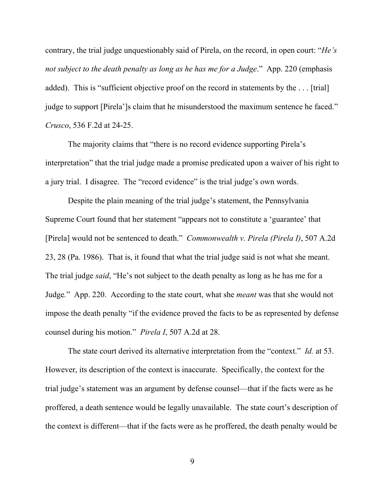contrary, the trial judge unquestionably said of Pirela, on the record, in open court: "*He's not subject to the death penalty as long as he has me for a Judge*." App. 220 (emphasis added). This is "sufficient objective proof on the record in statements by the ... [trial] judge to support [Pirela']s claim that he misunderstood the maximum sentence he faced." *Crusco*, 536 F.2d at 24-25.

The majority claims that "there is no record evidence supporting Pirela's interpretation" that the trial judge made a promise predicated upon a waiver of his right to a jury trial. I disagree. The "record evidence" is the trial judge's own words.

Despite the plain meaning of the trial judge's statement, the Pennsylvania Supreme Court found that her statement "appears not to constitute a 'guarantee' that [Pirela] would not be sentenced to death." *Commonwealth v. Pirela (Pirela I)*, 507 A.2d 23, 28 (Pa. 1986). That is, it found that what the trial judge said is not what she meant. The trial judge *said*, "He's not subject to the death penalty as long as he has me for a Judge*.*" App. 220. According to the state court, what she *meant* was that she would not impose the death penalty "if the evidence proved the facts to be as represented by defense counsel during his motion." *Pirela I*, 507 A.2d at 28.

The state court derived its alternative interpretation from the "context." *Id.* at 53. However, its description of the context is inaccurate. Specifically, the context for the trial judge's statement was an argument by defense counsel—that if the facts were as he proffered, a death sentence would be legally unavailable. The state court's description of the context is different—that if the facts were as he proffered, the death penalty would be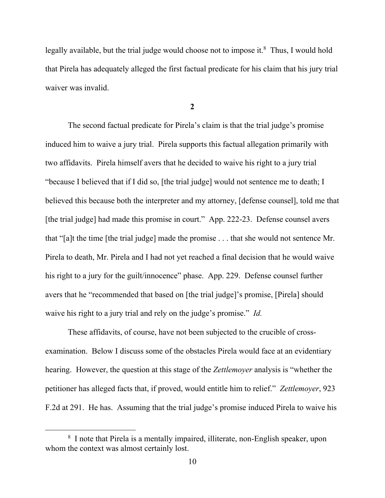legally available, but the trial judge would choose not to impose it. $8$  Thus, I would hold that Pirela has adequately alleged the first factual predicate for his claim that his jury trial waiver was invalid.

**2**

The second factual predicate for Pirela's claim is that the trial judge's promise induced him to waive a jury trial. Pirela supports this factual allegation primarily with two affidavits. Pirela himself avers that he decided to waive his right to a jury trial "because I believed that if I did so, [the trial judge] would not sentence me to death; I believed this because both the interpreter and my attorney, [defense counsel], told me that [the trial judge] had made this promise in court." App. 222-23. Defense counsel avers that "[a]t the time [the trial judge] made the promise . . . that she would not sentence Mr. Pirela to death, Mr. Pirela and I had not yet reached a final decision that he would waive his right to a jury for the guilt/innocence" phase. App. 229. Defense counsel further avers that he "recommended that based on [the trial judge]'s promise, [Pirela] should waive his right to a jury trial and rely on the judge's promise." *Id.*

These affidavits, of course, have not been subjected to the crucible of crossexamination. Below I discuss some of the obstacles Pirela would face at an evidentiary hearing. However, the question at this stage of the *Zettlemoyer* analysis is "whether the petitioner has alleged facts that, if proved, would entitle him to relief." *Zettlemoyer*, 923 F.2d at 291. He has. Assuming that the trial judge's promise induced Pirela to waive his

<sup>8</sup> I note that Pirela is a mentally impaired, illiterate, non-English speaker, upon whom the context was almost certainly lost.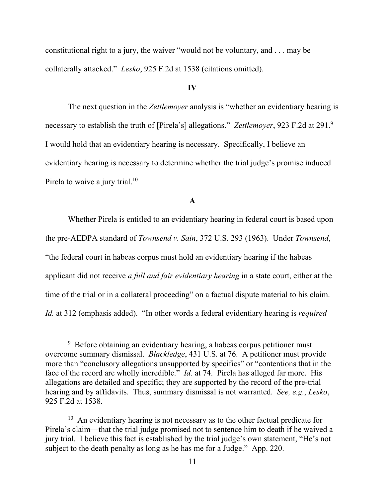constitutional right to a jury, the waiver "would not be voluntary, and . . . may be collaterally attacked." *Lesko*, 925 F.2d at 1538 (citations omitted).

## **IV**

The next question in the *Zettlemoyer* analysis is "whether an evidentiary hearing is necessary to establish the truth of [Pirela's] allegations." *Zettlemoyer*, 923 F.2d at 291.<sup>9</sup> I would hold that an evidentiary hearing is necessary. Specifically, I believe an evidentiary hearing is necessary to determine whether the trial judge's promise induced Pirela to waive a jury trial.<sup>10</sup>

## **A**

Whether Pirela is entitled to an evidentiary hearing in federal court is based upon the pre-AEDPA standard of *Townsend v. Sain*, 372 U.S. 293 (1963). Under *Townsend*, "the federal court in habeas corpus must hold an evidentiary hearing if the habeas applicant did not receive *a full and fair evidentiary hearing* in a state court, either at the time of the trial or in a collateral proceeding" on a factual dispute material to his claim. *Id.* at 312 (emphasis added). "In other words a federal evidentiary hearing is *required*

<sup>&</sup>lt;sup>9</sup> Before obtaining an evidentiary hearing, a habeas corpus petitioner must overcome summary dismissal. *Blackledge*, 431 U.S. at 76. A petitioner must provide more than "conclusory allegations unsupported by specifics" or "contentions that in the face of the record are wholly incredible." *Id.* at 74. Pirela has alleged far more. His allegations are detailed and specific; they are supported by the record of the pre-trial hearing and by affidavits. Thus, summary dismissal is not warranted. *See, e.g.*, *Lesko*, 925 F.2d at 1538.

<sup>&</sup>lt;sup>10</sup> An evidentiary hearing is not necessary as to the other factual predicate for Pirela's claim—that the trial judge promised not to sentence him to death if he waived a jury trial. I believe this fact is established by the trial judge's own statement, "He's not subject to the death penalty as long as he has me for a Judge." App. 220.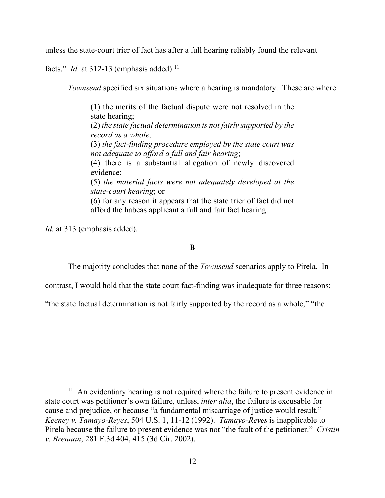unless the state-court trier of fact has after a full hearing reliably found the relevant

facts." *Id.* at 312-13 (emphasis added).<sup>11</sup>

*Townsend* specified six situations where a hearing is mandatory. These are where:

(1) the merits of the factual dispute were not resolved in the state hearing; (2) *the state factual determination is not fairly supported by the record as a whole;* (3) *the fact-finding procedure employed by the state court was not adequate to afford a full and fair hearing*; (4) there is a substantial allegation of newly discovered evidence; (5) *the material facts were not adequately developed at the state-court hearing*; or (6) for any reason it appears that the state trier of fact did not afford the habeas applicant a full and fair fact hearing.

*Id.* at 313 (emphasis added).

# **B**

The majority concludes that none of the *Townsend* scenarios apply to Pirela. In

contrast, I would hold that the state court fact-finding was inadequate for three reasons:

"the state factual determination is not fairly supported by the record as a whole," "the

<sup>&</sup>lt;sup>11</sup> An evidentiary hearing is not required where the failure to present evidence in state court was petitioner's own failure, unless, *inter alia*, the failure is excusable for cause and prejudice, or because "a fundamental miscarriage of justice would result." *Keeney v. Tamayo-Reyes*, 504 U.S. 1, 11-12 (1992). *Tamayo-Reyes* is inapplicable to Pirela because the failure to present evidence was not "the fault of the petitioner." *Cristin v. Brennan*, 281 F.3d 404, 415 (3d Cir. 2002).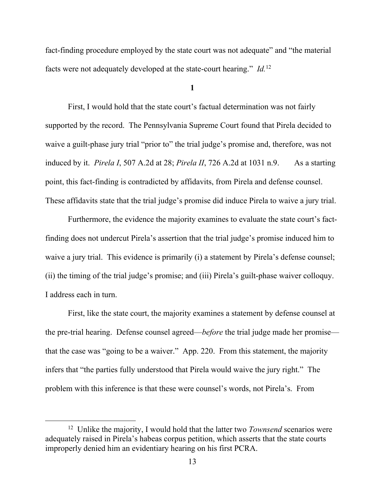fact-finding procedure employed by the state court was not adequate" and "the material" facts were not adequately developed at the state-court hearing." *Id.*<sup>12</sup>

**1**

First, I would hold that the state court's factual determination was not fairly supported by the record. The Pennsylvania Supreme Court found that Pirela decided to waive a guilt-phase jury trial "prior to" the trial judge's promise and, therefore, was not induced by it. *Pirela I*, 507 A.2d at 28; *Pirela II*, 726 A.2d at 1031 n.9. As a starting point, this fact-finding is contradicted by affidavits, from Pirela and defense counsel. These affidavits state that the trial judge's promise did induce Pirela to waive a jury trial.

Furthermore, the evidence the majority examines to evaluate the state court's factfinding does not undercut Pirela's assertion that the trial judge's promise induced him to waive a jury trial. This evidence is primarily (i) a statement by Pirela's defense counsel; (ii) the timing of the trial judge's promise; and (iii) Pirela's guilt-phase waiver colloquy. I address each in turn.

First, like the state court, the majority examines a statement by defense counsel at the pre-trial hearing. Defense counsel agreed—*before* the trial judge made her promise that the case was "going to be a waiver." App. 220. From this statement, the majority infers that "the parties fully understood that Pirela would waive the jury right." The problem with this inference is that these were counsel's words, not Pirela's. From

<sup>&</sup>lt;sup>12</sup> Unlike the majority, I would hold that the latter two *Townsend* scenarios were adequately raised in Pirela's habeas corpus petition, which asserts that the state courts improperly denied him an evidentiary hearing on his first PCRA.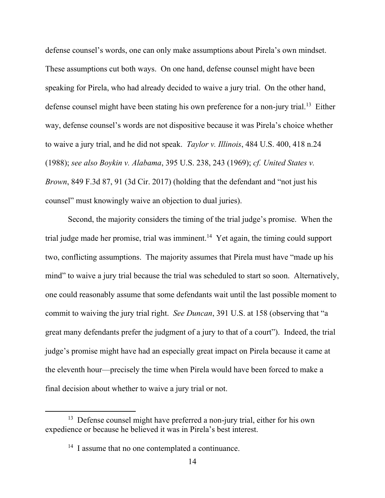defense counsel's words, one can only make assumptions about Pirela's own mindset. These assumptions cut both ways. On one hand, defense counsel might have been speaking for Pirela, who had already decided to waive a jury trial. On the other hand, defense counsel might have been stating his own preference for a non-jury trial.<sup>13</sup> Either way, defense counsel's words are not dispositive because it was Pirela's choice whether to waive a jury trial, and he did not speak. *Taylor v. Illinois*, 484 U.S. 400, 418 n.24 (1988); *see also Boykin v. Alabama*, 395 U.S. 238, 243 (1969); *cf. United States v. Brown*, 849 F.3d 87, 91 (3d Cir. 2017) (holding that the defendant and "not just his counsel" must knowingly waive an objection to dual juries).

Second, the majority considers the timing of the trial judge's promise. When the trial judge made her promise, trial was imminent.<sup>14</sup> Yet again, the timing could support two, conflicting assumptions. The majority assumes that Pirela must have "made up his mind" to waive a jury trial because the trial was scheduled to start so soon. Alternatively, one could reasonably assume that some defendants wait until the last possible moment to commit to waiving the jury trial right. *See Duncan*, 391 U.S. at 158 (observing that "a great many defendants prefer the judgment of a jury to that of a court"). Indeed, the trial judge's promise might have had an especially great impact on Pirela because it came at the eleventh hour—precisely the time when Pirela would have been forced to make a final decision about whether to waive a jury trial or not.

<sup>&</sup>lt;sup>13</sup> Defense counsel might have preferred a non-jury trial, either for his own expedience or because he believed it was in Pirela's best interest.

<sup>&</sup>lt;sup>14</sup> I assume that no one contemplated a continuance.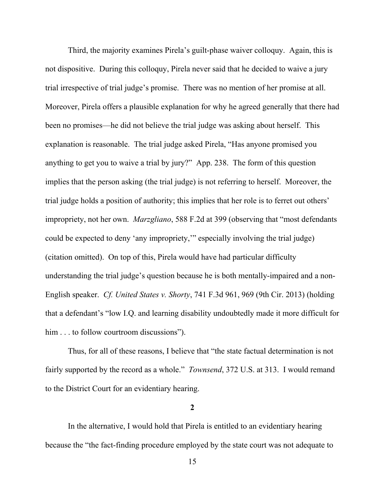Third, the majority examines Pirela's guilt-phase waiver colloquy. Again, this is not dispositive. During this colloquy, Pirela never said that he decided to waive a jury trial irrespective of trial judge's promise. There was no mention of her promise at all. Moreover, Pirela offers a plausible explanation for why he agreed generally that there had been no promises—he did not believe the trial judge was asking about herself. This explanation is reasonable. The trial judge asked Pirela, "Has anyone promised you anything to get you to waive a trial by jury?" App. 238. The form of this question implies that the person asking (the trial judge) is not referring to herself. Moreover, the trial judge holds a position of authority; this implies that her role is to ferret out others' impropriety, not her own. *Marzgliano*, 588 F.2d at 399 (observing that "most defendants could be expected to deny 'any impropriety,'" especially involving the trial judge) (citation omitted). On top of this, Pirela would have had particular difficulty understanding the trial judge's question because he is both mentally-impaired and a non-English speaker. *Cf. United States v. Shorty*, 741 F.3d 961, 969 (9th Cir. 2013) (holding that a defendant's "low I.Q. and learning disability undoubtedly made it more difficult for him . . . to follow courtroom discussions").

Thus, for all of these reasons, I believe that "the state factual determination is not fairly supported by the record as a whole." *Townsend*, 372 U.S. at 313. I would remand to the District Court for an evidentiary hearing.

**2**

In the alternative, I would hold that Pirela is entitled to an evidentiary hearing because the "the fact-finding procedure employed by the state court was not adequate to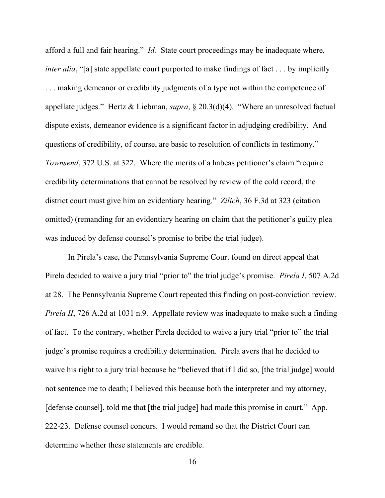afford a full and fair hearing." *Id.* State court proceedings may be inadequate where, *inter alia*, "[a] state appellate court purported to make findings of fact . . . by implicitly ... making demeanor or credibility judgments of a type not within the competence of appellate judges." Hertz & Liebman, *supra*, § 20.3(d)(4). "Where an unresolved factual dispute exists, demeanor evidence is a significant factor in adjudging credibility. And questions of credibility, of course, are basic to resolution of conflicts in testimony." *Townsend*, 372 U.S. at 322. Where the merits of a habeas petitioner's claim "require credibility determinations that cannot be resolved by review of the cold record, the district court must give him an evidentiary hearing." *Zilich*, 36 F.3d at 323 (citation omitted) (remanding for an evidentiary hearing on claim that the petitioner's guilty plea was induced by defense counsel's promise to bribe the trial judge).

In Pirela's case, the Pennsylvania Supreme Court found on direct appeal that Pirela decided to waive a jury trial "prior to" the trial judge's promise. *Pirela I*, 507 A.2d at 28. The Pennsylvania Supreme Court repeated this finding on post-conviction review. *Pirela II*, 726 A.2d at 1031 n.9. Appellate review was inadequate to make such a finding of fact. To the contrary, whether Pirela decided to waive a jury trial "prior to" the trial judge's promise requires a credibility determination. Pirela avers that he decided to waive his right to a jury trial because he "believed that if I did so, [the trial judge] would not sentence me to death; I believed this because both the interpreter and my attorney, [defense counsel], told me that [the trial judge] had made this promise in court." App. 222-23. Defense counsel concurs. I would remand so that the District Court can determine whether these statements are credible.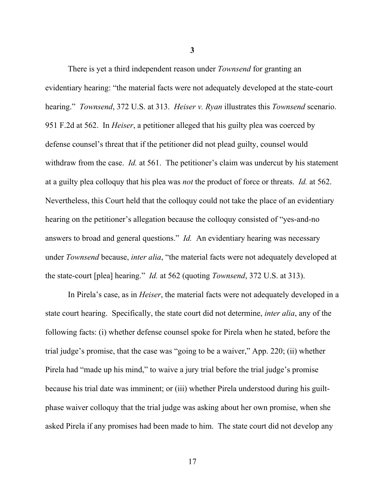There is yet a third independent reason under *Townsend* for granting an evidentiary hearing: "the material facts were not adequately developed at the state-court hearing." *Townsend*, 372 U.S. at 313. *Heiser v. Ryan* illustrates this *Townsend* scenario. 951 F.2d at 562. In *Heiser*, a petitioner alleged that his guilty plea was coerced by defense counsel's threat that if the petitioner did not plead guilty, counsel would withdraw from the case. *Id.* at 561. The petitioner's claim was undercut by his statement at a guilty plea colloquy that his plea was *not* the product of force or threats. *Id.* at 562. Nevertheless, this Court held that the colloquy could not take the place of an evidentiary hearing on the petitioner's allegation because the colloquy consisted of "yes-and-no answers to broad and general questions." *Id.* An evidentiary hearing was necessary under *Townsend* because, *inter alia*, "the material facts were not adequately developed at the state-court [plea] hearing." *Id.* at 562 (quoting *Townsend*, 372 U.S. at 313).

In Pirela's case, as in *Heiser*, the material facts were not adequately developed in a state court hearing. Specifically, the state court did not determine, *inter alia*, any of the following facts: (i) whether defense counsel spoke for Pirela when he stated, before the trial judge's promise, that the case was "going to be a waiver," App. 220; (ii) whether Pirela had "made up his mind," to waive a jury trial before the trial judge's promise because his trial date was imminent; or (iii) whether Pirela understood during his guiltphase waiver colloquy that the trial judge was asking about her own promise, when she asked Pirela if any promises had been made to him. The state court did not develop any

**3**